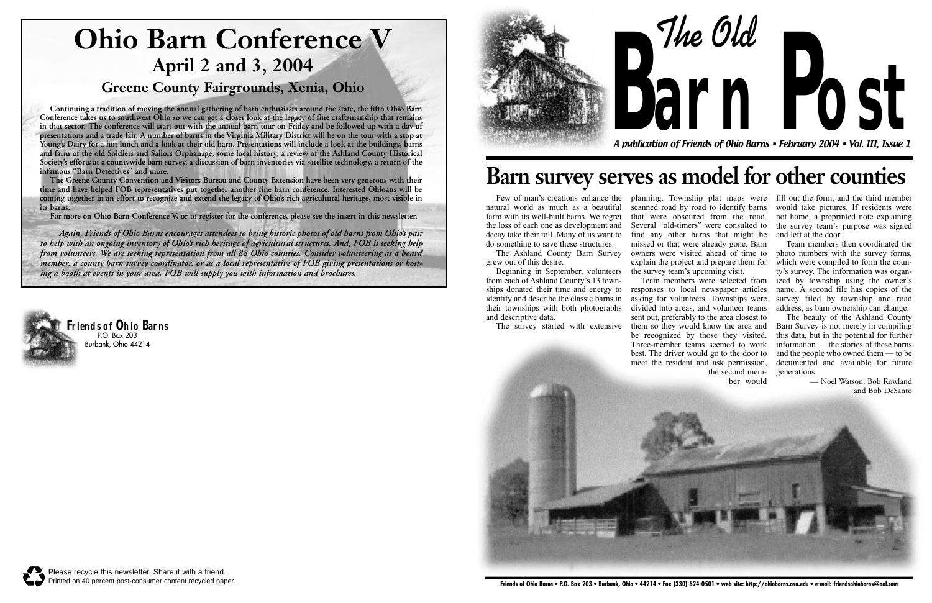**The Old**



A publication of Friends of Ohio Barns • February 2004 • Vol. III, Issue 1

**arn Post**



## **Barn survey serves as model for other counties**

natural world as much as a beautiful farm with its well-built barns. We regret the loss of each one as development and decay take their toll. Many of us want to do something to save these structures.

The Ashland County Barn Survey grew out of this desire.

Beginning in September, volunteers from each of Ashland County's 13 townships donated their time and energy to identify and describe the classic barns in their townships with both photographs and descriptive data.

The survey started with extensive them so they would know the area and

Few of man's creations enhance the planning. Township plat maps were fill out the form, and the third member scanned road by road to identify barns that were obscured from the road. Several "old-timers" were consulted to find any other barns that might be missed or that were already gone. Barn owners were visited ahead of time to explain the project and prepare them for the survey team's upcoming visit.



Team members were selected from responses to local newspaper articles asking for volunteers. Townships were divided into areas, and volunteer teams sent out, preferably to the area closest to be recognized by those they visited. Three-member teams seemed to work best. The driver would go to the door to meet the resident and ask permission, the second mem-

ber would

would take pictures. If residents were not home, a preprinted note explaining the survey team's purpose was signed and left at the door.

Team members then coordinated the photo numbers with the survey forms, which were compiled to form the county's survey. The information was organized by township using the owner's name. A second file has copies of the survey filed by township and road address, as barn ownership can change.

The beauty of the Ashland County Barn Survey is not merely in compiling this data, but in the potential for further information — the stories of these barns and the people who owned them — to be documented and available for future generations.

> — Noel Watson, Bob Rowland and Bob DeSanto

**Continuing a tradition of moving the annual gathering of barn enthusiasts around the state, the fifth Ohio Barn Conference takes us to southwest Ohio so we can get a closer look at the legacy of fine craftsmanship that remains in that sector. The conference will start out with the annual barn tour on Friday and be followed up with a day of presentations and a trade fair. A number of barns in the Virginia Military District will be on the tour with a stop at Young's Dairy for a hot lunch and a look at their old barn. Presentations will include a look at the buildings, barns and farm of the old Soldiers and Sailors Orphanage, some local history, a review of the Ashland County Historical Society's efforts at a countywide barn survey, a discussion of barn inventories via satellite technology, a return of the infamous "Barn Detectives" and more.**

**The Greene County Convention and Visitors Bureau and County Extension have been very generous with their time and have helped FOB representatives put together another fine barn conference. Interested Ohioans will be coming together in an effort to recognize and extend the legacy of Ohio's rich agricultural heritage, most visible in its barns.**

**For more on Ohio Barn Conference V, or to register for the conference, please see the insert in this newsletter.** 

# **Ohio Barn Conference V April 2 and 3, 2004**

### **Greene County Fairgrounds, Xenia, Ohio**

*Again, Friends of Ohio Barns encourages attendees to bring historic photos of old barns from Ohio's past to help with an ongoing inventory of Ohio's rich heritage of agricultural structures. And, FOB is seeking help from volunteers. We are seeking representation from all 88 Ohio counties. Consider volunteering as a board member, a county barn survey coordinator, or as a local representative of FOB giving presentations or hosting a booth at events in your area. FOB will supply you with information and brochures.*